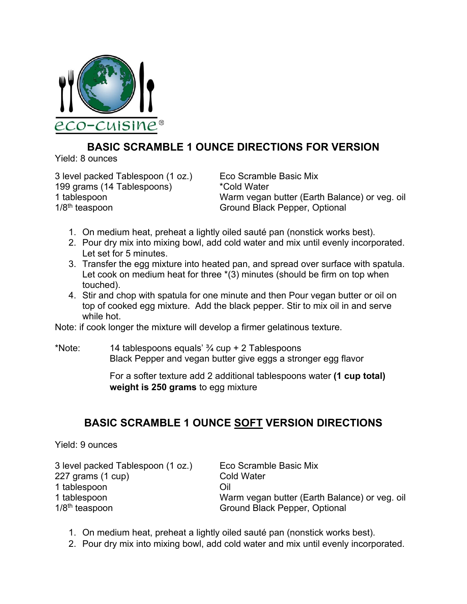

## **BASIC SCRAMBLE 1 OUNCE DIRECTIONS FOR VERSION**

Yield: 8 ounces

3 level packed Tablespoon (1 oz.) Eco Scramble Basic Mix 199 grams (14 Tablespoons) \*Cold Water 1/8<sup>th</sup> teaspoon Ground Black Pepper, Optional

1 tablespoon Warm vegan butter (Earth Balance) or veg. oil

- 1. On medium heat, preheat a lightly oiled sauté pan (nonstick works best).
- 2. Pour dry mix into mixing bowl, add cold water and mix until evenly incorporated. Let set for 5 minutes.
- 3. Transfer the egg mixture into heated pan, and spread over surface with spatula. Let cook on medium heat for three  $*(3)$  minutes (should be firm on top when touched).
- 4. Stir and chop with spatula for one minute and then Pour vegan butter or oil on top of cooked egg mixture. Add the black pepper. Stir to mix oil in and serve while hot.

Note: if cook longer the mixture will develop a firmer gelatinous texture.

\*Note: 14 tablespoons equals'  $\frac{3}{4}$  cup + 2 Tablespoons Black Pepper and vegan butter give eggs a stronger egg flavor

> For a softer texture add 2 additional tablespoons water **(1 cup total) weight is 250 grams** to egg mixture

## **BASIC SCRAMBLE 1 OUNCE SOFT VERSION DIRECTIONS**

Yield: 9 ounces

| 3 level packed Tablespoon (1 oz.) | Eco Scramble Basic Mix                        |
|-----------------------------------|-----------------------------------------------|
| 227 grams (1 cup)                 | <b>Cold Water</b>                             |
| 1 tablespoon                      | Oil                                           |
| 1 tablespoon                      | Warm vegan butter (Earth Balance) or veg. oil |
| $1/8th$ teaspoon                  | Ground Black Pepper, Optional                 |

- 1. On medium heat, preheat a lightly oiled sauté pan (nonstick works best).
- 2. Pour dry mix into mixing bowl, add cold water and mix until evenly incorporated.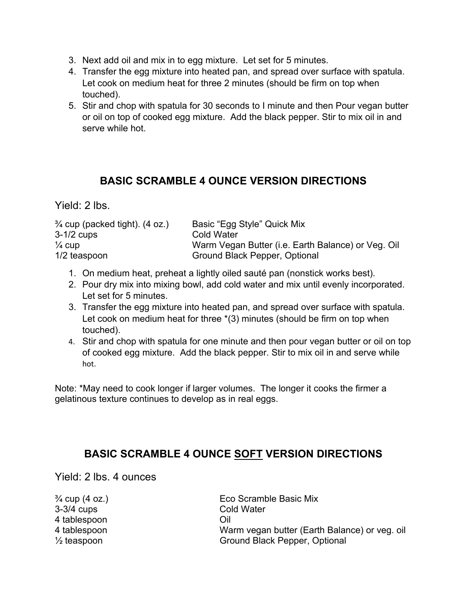- 3. Next add oil and mix in to egg mixture. Let set for 5 minutes.
- 4. Transfer the egg mixture into heated pan, and spread over surface with spatula. Let cook on medium heat for three 2 minutes (should be firm on top when touched).
- 5. Stir and chop with spatula for 30 seconds to I minute and then Pour vegan butter or oil on top of cooked egg mixture. Add the black pepper. Stir to mix oil in and serve while hot.

## **BASIC SCRAMBLE 4 OUNCE VERSION DIRECTIONS**

Yield: 2 lbs.

| $\frac{3}{4}$ cup (packed tight). (4 oz.) | Basic "Egg Style" Quick Mix                        |
|-------------------------------------------|----------------------------------------------------|
| $3-1/2$ cups                              | Cold Water                                         |
| $\frac{1}{4}$ cup                         | Warm Vegan Butter (i.e. Earth Balance) or Veg. Oil |
| $1/2$ teaspoon                            | Ground Black Pepper, Optional                      |

- 1. On medium heat, preheat a lightly oiled sauté pan (nonstick works best).
- 2. Pour dry mix into mixing bowl, add cold water and mix until evenly incorporated. Let set for 5 minutes.
- 3. Transfer the egg mixture into heated pan, and spread over surface with spatula. Let cook on medium heat for three  $*(3)$  minutes (should be firm on top when touched).
- 4. Stir and chop with spatula for one minute and then pour vegan butter or oil on top of cooked egg mixture. Add the black pepper. Stir to mix oil in and serve while hot.

Note: \*May need to cook longer if larger volumes. The longer it cooks the firmer a gelatinous texture continues to develop as in real eggs.

## **BASIC SCRAMBLE 4 OUNCE SOFT VERSION DIRECTIONS**

Yield: 2 lbs. 4 ounces

3-3/4 cups Cold Water 4 tablespoon Oil

 $\frac{3}{4}$  cup (4 oz.) Eco Scramble Basic Mix 4 tablespoon Warm vegan butter (Earth Balance) or veg. oil ½ teaspoon Ground Black Pepper, Optional